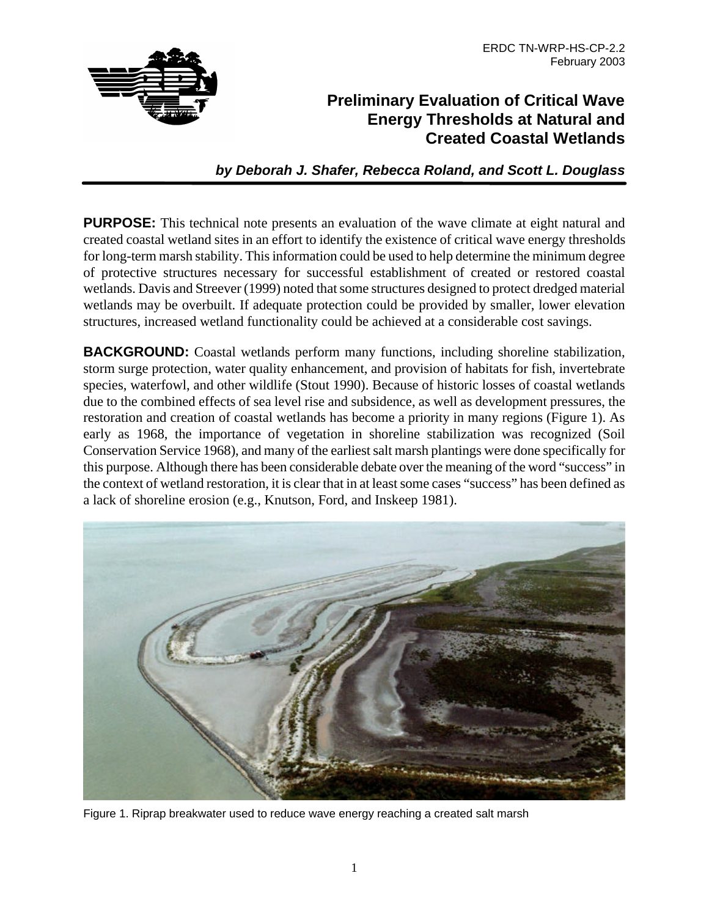

# **Preliminary Evaluation of Critical Wave Energy Thresholds at Natural and Created Coastal Wetlands**

*by Deborah J. Shafer, Rebecca Roland, and Scott L. Douglass*

**PURPOSE:** This technical note presents an evaluation of the wave climate at eight natural and created coastal wetland sites in an effort to identify the existence of critical wave energy thresholds for long-term marsh stability. This information could be used to help determine the minimum degree of protective structures necessary for successful establishment of created or restored coastal wetlands. Davis and Streever (1999) noted that some structures designed to protect dredged material wetlands may be overbuilt. If adequate protection could be provided by smaller, lower elevation structures, increased wetland functionality could be achieved at a considerable cost savings.

**BACKGROUND:** Coastal wetlands perform many functions, including shoreline stabilization, storm surge protection, water quality enhancement, and provision of habitats for fish, invertebrate species, waterfowl, and other wildlife (Stout 1990). Because of historic losses of coastal wetlands due to the combined effects of sea level rise and subsidence, as well as development pressures, the restoration and creation of coastal wetlands has become a priority in many regions (Figure 1). As early as 1968, the importance of vegetation in shoreline stabilization was recognized (Soil Conservation Service 1968), and many of the earliest salt marsh plantings were done specifically for this purpose. Although there has been considerable debate over the meaning of the word "success" in the context of wetland restoration, it is clear that in at least some cases "success" has been defined as a lack of shoreline erosion (e.g., Knutson, Ford, and Inskeep 1981).



Figure 1. Riprap breakwater used to reduce wave energy reaching a created salt marsh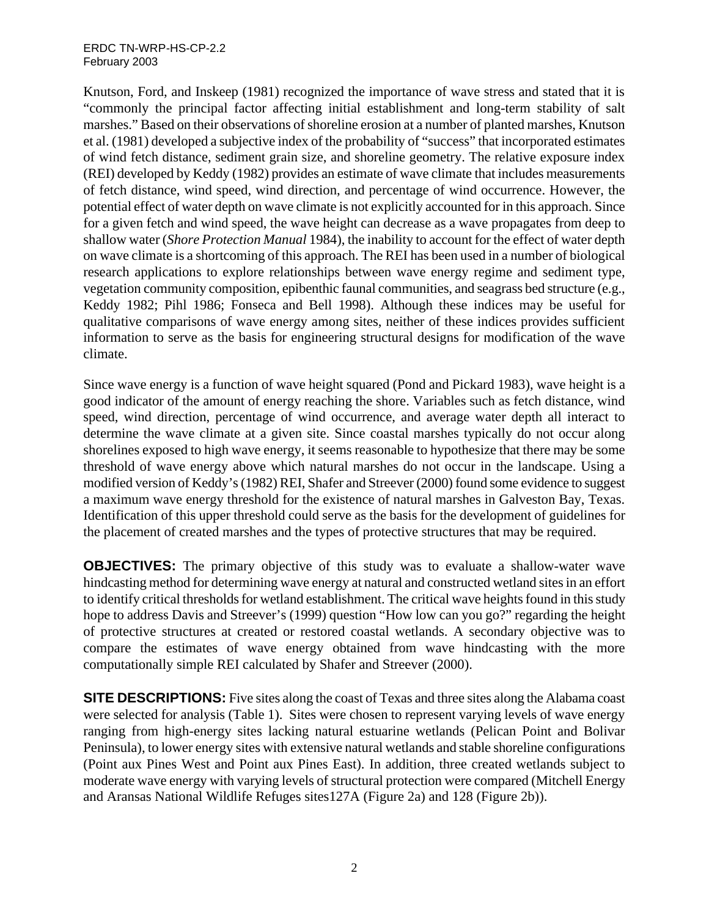#### ERDC TN-WRP-HS-CP-2.2 February 2003

Knutson, Ford, and Inskeep (1981) recognized the importance of wave stress and stated that it is "commonly the principal factor affecting initial establishment and long-term stability of salt marshes." Based on their observations of shoreline erosion at a number of planted marshes, Knutson et al. (1981) developed a subjective index of the probability of "success" that incorporated estimates of wind fetch distance, sediment grain size, and shoreline geometry. The relative exposure index (REI) developed by Keddy (1982) provides an estimate of wave climate that includes measurements of fetch distance, wind speed, wind direction, and percentage of wind occurrence. However, the potential effect of water depth on wave climate is not explicitly accounted for in this approach. Since for a given fetch and wind speed, the wave height can decrease as a wave propagates from deep to shallow water (*Shore Protection Manual* 1984), the inability to account for the effect of water depth on wave climate is a shortcoming of this approach. The REI has been used in a number of biological research applications to explore relationships between wave energy regime and sediment type, vegetation community composition, epibenthic faunal communities, and seagrass bed structure (e.g., Keddy 1982; Pihl 1986; Fonseca and Bell 1998). Although these indices may be useful for qualitative comparisons of wave energy among sites, neither of these indices provides sufficient information to serve as the basis for engineering structural designs for modification of the wave climate.

Since wave energy is a function of wave height squared (Pond and Pickard 1983), wave height is a good indicator of the amount of energy reaching the shore. Variables such as fetch distance, wind speed, wind direction, percentage of wind occurrence, and average water depth all interact to determine the wave climate at a given site. Since coastal marshes typically do not occur along shorelines exposed to high wave energy, it seems reasonable to hypothesize that there may be some threshold of wave energy above which natural marshes do not occur in the landscape. Using a modified version of Keddy's (1982) REI, Shafer and Streever (2000) found some evidence to suggest a maximum wave energy threshold for the existence of natural marshes in Galveston Bay, Texas. Identification of this upper threshold could serve as the basis for the development of guidelines for the placement of created marshes and the types of protective structures that may be required.

**OBJECTIVES:** The primary objective of this study was to evaluate a shallow-water wave hindcasting method for determining wave energy at natural and constructed wetland sites in an effort to identify critical thresholds for wetland establishment. The critical wave heights found in this study hope to address Davis and Streever's (1999) question "How low can you go?" regarding the height of protective structures at created or restored coastal wetlands. A secondary objective was to compare the estimates of wave energy obtained from wave hindcasting with the more computationally simple REI calculated by Shafer and Streever (2000).

**SITE DESCRIPTIONS:** Five sites along the coast of Texas and three sites along the Alabama coast were selected for analysis (Table 1). Sites were chosen to represent varying levels of wave energy ranging from high-energy sites lacking natural estuarine wetlands (Pelican Point and Bolivar Peninsula), to lower energy sites with extensive natural wetlands and stable shoreline configurations (Point aux Pines West and Point aux Pines East). In addition, three created wetlands subject to moderate wave energy with varying levels of structural protection were compared (Mitchell Energy and Aransas National Wildlife Refuges sites127A (Figure 2a) and 128 (Figure 2b)).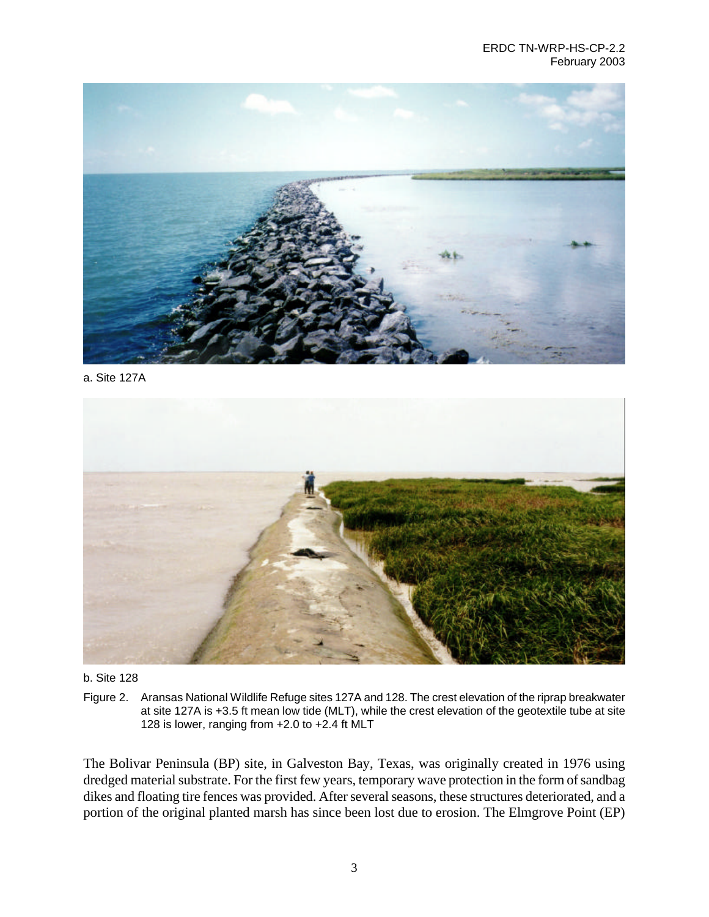

a. Site 127A



b. Site 128

Figure 2. Aransas National Wildlife Refuge sites 127A and 128. The crest elevation of the riprap breakwater at site 127A is +3.5 ft mean low tide (MLT), while the crest elevation of the geotextile tube at site 128 is lower, ranging from +2.0 to +2.4 ft MLT

The Bolivar Peninsula (BP) site, in Galveston Bay, Texas, was originally created in 1976 using dredged material substrate. For the first few years, temporary wave protection in the form of sandbag dikes and floating tire fences was provided. After several seasons, these structures deteriorated, and a portion of the original planted marsh has since been lost due to erosion. The Elmgrove Point (EP)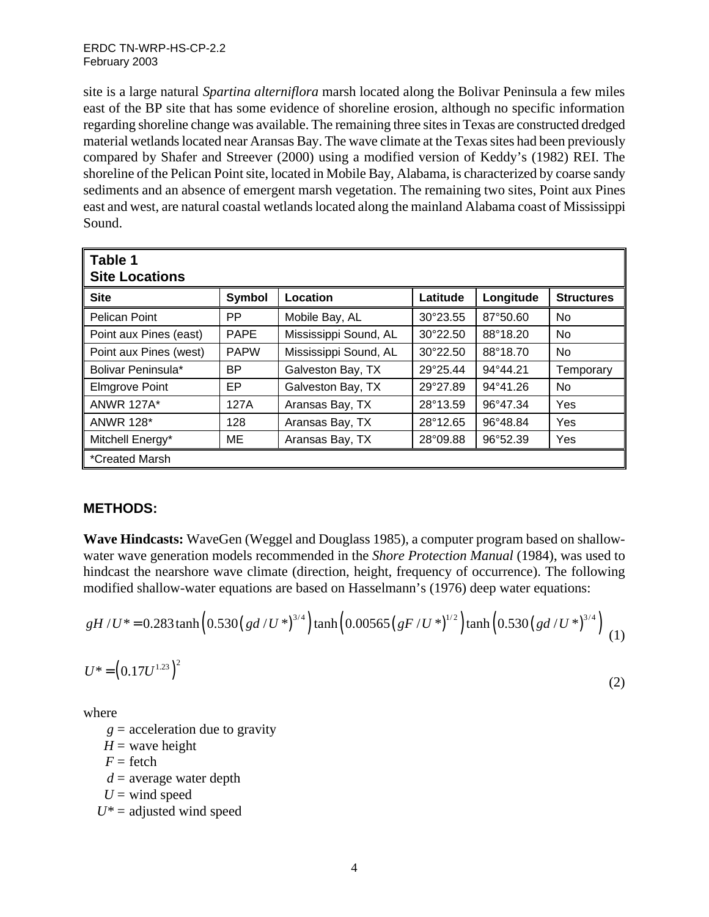site is a large natural *Spartina alterniflora* marsh located along the Bolivar Peninsula a few miles east of the BP site that has some evidence of shoreline erosion, although no specific information regarding shoreline change was available. The remaining three sites in Texas are constructed dredged material wetlands located near Aransas Bay. The wave climate at the Texas sites had been previously compared by Shafer and Streever (2000) using a modified version of Keddy's (1982) REI. The shoreline of the Pelican Point site, located in Mobile Bay, Alabama, is characterized by coarse sandy sediments and an absence of emergent marsh vegetation. The remaining two sites, Point aux Pines east and west, are natural coastal wetlands located along the mainland Alabama coast of Mississippi Sound.

| Table 1<br><b>Site Locations</b> |             |                       |                   |                   |                   |  |  |  |
|----------------------------------|-------------|-----------------------|-------------------|-------------------|-------------------|--|--|--|
| <b>Site</b>                      | Symbol      | Location              | Latitude          | Longitude         | <b>Structures</b> |  |  |  |
| <b>Pelican Point</b>             | <b>PP</b>   | Mobile Bay, AL        | 30°23.55          | 87°50.60          | No                |  |  |  |
| Point aux Pines (east)           | <b>PAPE</b> | Mississippi Sound, AL | $30^{\circ}22.50$ | 88°18.20          | <b>No</b>         |  |  |  |
| Point aux Pines (west)           | <b>PAPW</b> | Mississippi Sound, AL | $30^{\circ}22.50$ | 88°18.70          | No                |  |  |  |
| Bolivar Peninsula*               | BP.         | Galveston Bay, TX     | 29°25.44          | 94°44.21          | Temporary         |  |  |  |
| <b>Elmgrove Point</b>            | EP          | Galveston Bay, TX     | 29°27.89          | $94^{\circ}41.26$ | No                |  |  |  |
| <b>ANWR 127A*</b>                | 127A        | Aransas Bay, TX       | 28°13.59          | 96°47.34          | Yes               |  |  |  |
| <b>ANWR 128*</b>                 | 128         | Aransas Bay, TX       | 28°12.65          | 96°48.84          | Yes               |  |  |  |
| Mitchell Energy*                 | ME          | Aransas Bay, TX       | 28°09.88          | 96°52.39          | Yes               |  |  |  |
| *Created Marsh                   |             |                       |                   |                   |                   |  |  |  |

## **METHODS:**

**Wave Hindcasts:** WaveGen (Weggel and Douglass 1985), a computer program based on shallowwater wave generation models recommended in the *Shore Protection Manual* (1984), was used to hindcast the nearshore wave climate (direction, height, frequency of occurrence). The following modified shallow-water equations are based on Hasselmann's (1976) deep water equations:

$$
gH/U^* = 0.283 \tanh\left(0.530\left(gd/U^*\right)^{3/4}\right) \tanh\left(0.00565\left(gF/U^*\right)^{1/2}\right) \tanh\left(0.530\left(gd/U^*\right)^{3/4}\right) \tag{1}
$$

$$
U^* = (0.17U^{1.23})^2 \tag{2}
$$

where

- $g =$  acceleration due to gravity
- $H =$  wave height
- $F =$  fetch
- $d =$  average water depth
- $U =$  wind speed
- *U\** = adjusted wind speed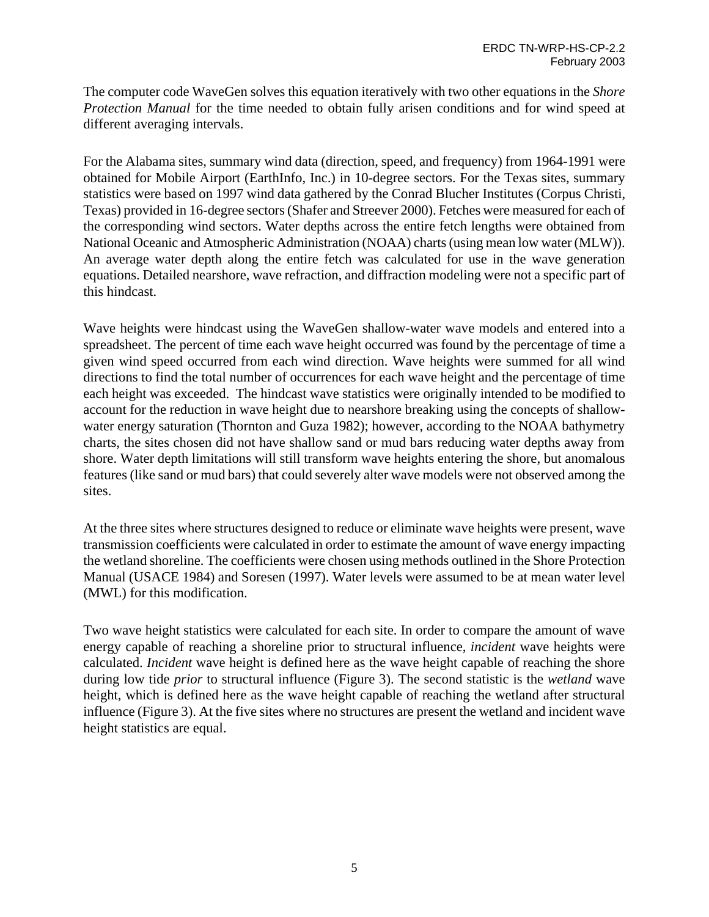The computer code WaveGen solves this equation iteratively with two other equations in the *Shore Protection Manual* for the time needed to obtain fully arisen conditions and for wind speed at different averaging intervals.

For the Alabama sites, summary wind data (direction, speed, and frequency) from 1964-1991 were obtained for Mobile Airport (EarthInfo, Inc.) in 10-degree sectors. For the Texas sites, summary statistics were based on 1997 wind data gathered by the Conrad Blucher Institutes (Corpus Christi, Texas) provided in 16-degree sectors (Shafer and Streever 2000). Fetches were measured for each of the corresponding wind sectors. Water depths across the entire fetch lengths were obtained from National Oceanic and Atmospheric Administration (NOAA) charts (using mean low water (MLW)). An average water depth along the entire fetch was calculated for use in the wave generation equations. Detailed nearshore, wave refraction, and diffraction modeling were not a specific part of this hindcast.

Wave heights were hindcast using the WaveGen shallow-water wave models and entered into a spreadsheet. The percent of time each wave height occurred was found by the percentage of time a given wind speed occurred from each wind direction. Wave heights were summed for all wind directions to find the total number of occurrences for each wave height and the percentage of time each height was exceeded. The hindcast wave statistics were originally intended to be modified to account for the reduction in wave height due to nearshore breaking using the concepts of shallowwater energy saturation (Thornton and Guza 1982); however, according to the NOAA bathymetry charts, the sites chosen did not have shallow sand or mud bars reducing water depths away from shore. Water depth limitations will still transform wave heights entering the shore, but anomalous features (like sand or mud bars) that could severely alter wave models were not observed among the sites.

At the three sites where structures designed to reduce or eliminate wave heights were present, wave transmission coefficients were calculated in order to estimate the amount of wave energy impacting the wetland shoreline. The coefficients were chosen using methods outlined in the Shore Protection Manual (USACE 1984) and Soresen (1997). Water levels were assumed to be at mean water level (MWL) for this modification.

Two wave height statistics were calculated for each site. In order to compare the amount of wave energy capable of reaching a shoreline prior to structural influence, *incident* wave heights were calculated. *Incident* wave height is defined here as the wave height capable of reaching the shore during low tide *prior* to structural influence (Figure 3). The second statistic is the *wetland* wave height, which is defined here as the wave height capable of reaching the wetland after structural influence (Figure 3). At the five sites where no structures are present the wetland and incident wave height statistics are equal.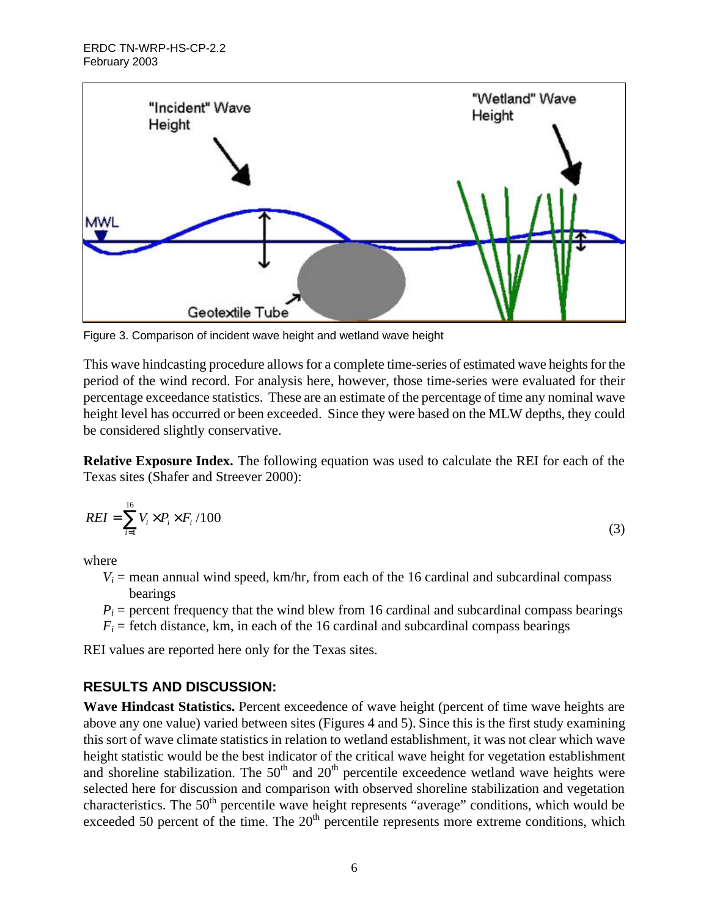

Figure 3. Comparison of incident wave height and wetland wave height

This wave hindcasting procedure allows for a complete time-series of estimated wave heights for the period of the wind record. For analysis here, however, those time-series were evaluated for their percentage exceedance statistics. These are an estimate of the percentage of time any nominal wave height level has occurred or been exceeded. Since they were based on the MLW depths, they could be considered slightly conservative.

**Relative Exposure Index.** The following equation was used to calculate the REI for each of the Texas sites (Shafer and Streever 2000):

$$
REI = \sum_{i=1}^{16} V_i \times P_i \times F_i / 100
$$
\n<sup>(3)</sup>

where

- $V_i$  = mean annual wind speed, km/hr, from each of the 16 cardinal and subcardinal compass bearings
- $P_i$  = percent frequency that the wind blew from 16 cardinal and subcardinal compass bearings
- $F_i$  = fetch distance, km, in each of the 16 cardinal and subcardinal compass bearings

REI values are reported here only for the Texas sites.

## **RESULTS AND DISCUSSION:**

**Wave Hindcast Statistics.** Percent exceedence of wave height (percent of time wave heights are above any one value) varied between sites (Figures 4 and 5). Since this is the first study examining this sort of wave climate statistics in relation to wetland establishment, it was not clear which wave height statistic would be the best indicator of the critical wave height for vegetation establishment and shoreline stabilization. The  $50<sup>th</sup>$  and  $20<sup>th</sup>$  percentile exceedence wetland wave heights were selected here for discussion and comparison with observed shoreline stabilization and vegetation characteristics. The  $50<sup>th</sup>$  percentile wave height represents "average" conditions, which would be exceeded 50 percent of the time. The  $20<sup>th</sup>$  percentile represents more extreme conditions, which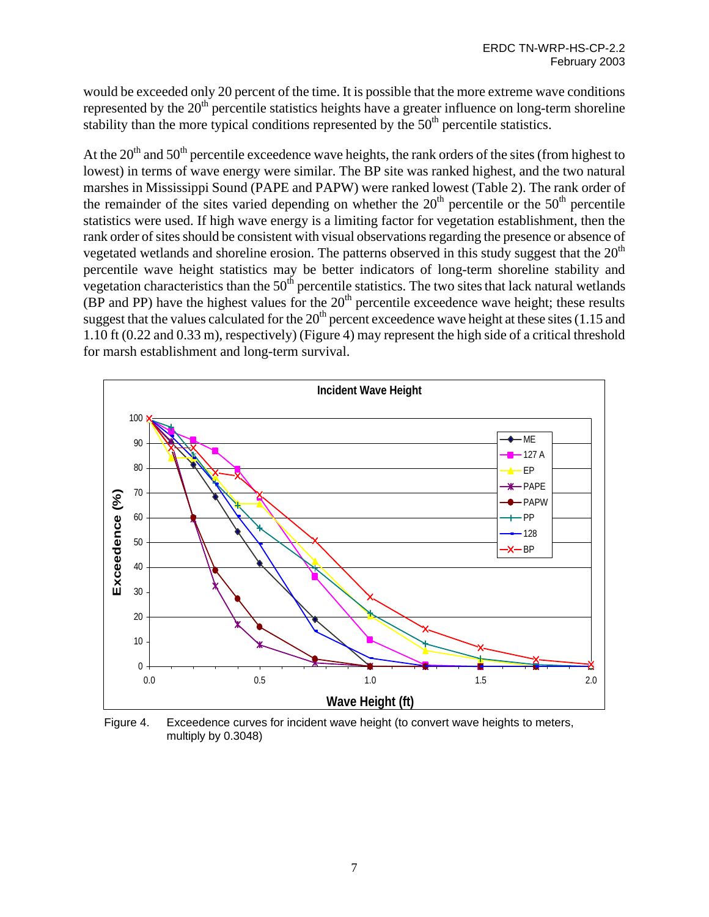would be exceeded only 20 percent of the time. It is possible that the more extreme wave conditions represented by the  $20<sup>th</sup>$  percentile statistics heights have a greater influence on long-term shoreline stability than the more typical conditions represented by the  $50<sup>th</sup>$  percentile statistics.

At the 20<sup>th</sup> and 50<sup>th</sup> percentile exceedence wave heights, the rank orders of the sites (from highest to lowest) in terms of wave energy were similar. The BP site was ranked highest, and the two natural marshes in Mississippi Sound (PAPE and PAPW) were ranked lowest (Table 2). The rank order of the remainder of the sites varied depending on whether the  $20<sup>th</sup>$  percentile or the  $50<sup>th</sup>$  percentile statistics were used. If high wave energy is a limiting factor for vegetation establishment, then the rank order of sites should be consistent with visual observations regarding the presence or absence of vegetated wetlands and shoreline erosion. The patterns observed in this study suggest that the  $20<sup>th</sup>$ percentile wave height statistics may be better indicators of long-term shoreline stability and vegetation characteristics than the  $50<sup>th</sup>$  percentile statistics. The two sites that lack natural wetlands (BP and PP) have the highest values for the  $20<sup>th</sup>$  percentile exceedence wave height; these results suggest that the values calculated for the  $20<sup>th</sup>$  percent exceedence wave height at these sites (1.15 and 1.10 ft (0.22 and 0.33 m), respectively) (Figure 4) may represent the high side of a critical threshold for marsh establishment and long-term survival.



Figure 4. Exceedence curves for incident wave height (to convert wave heights to meters, multiply by 0.3048)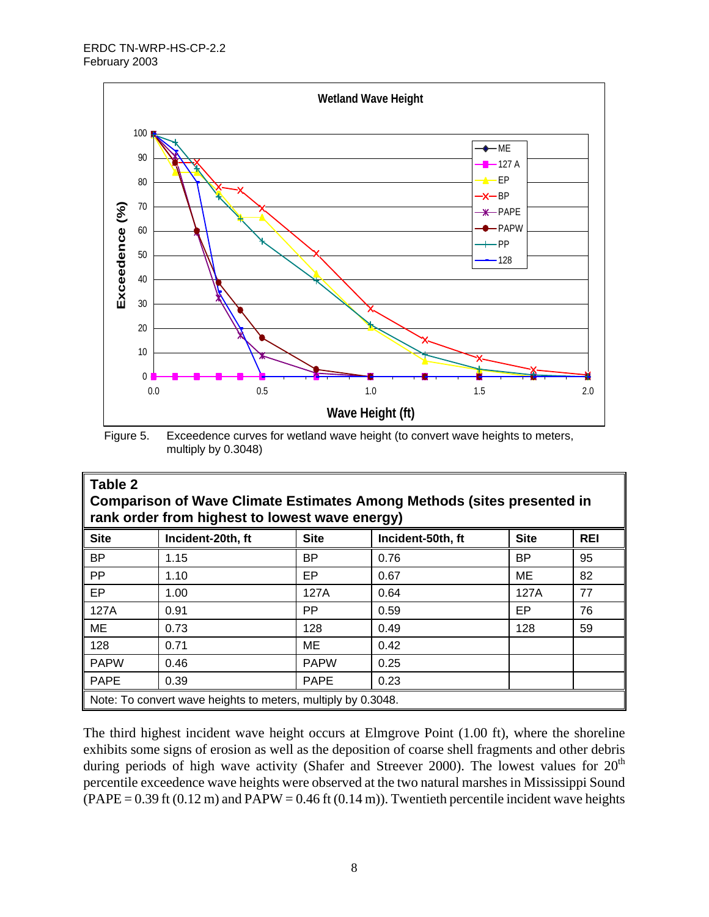

Figure 5. Exceedence curves for wetland wave height (to convert wave heights to meters, multiply by 0.3048)

| Table 2<br><b>Comparison of Wave Climate Estimates Among Methods (sites presented in</b><br>rank order from highest to lowest wave energy) |                   |             |                   |             |            |  |  |  |  |
|--------------------------------------------------------------------------------------------------------------------------------------------|-------------------|-------------|-------------------|-------------|------------|--|--|--|--|
| <b>Site</b>                                                                                                                                | Incident-20th, ft | <b>Site</b> | Incident-50th, ft | <b>Site</b> | <b>REI</b> |  |  |  |  |
| <b>BP</b>                                                                                                                                  | 1.15              | BP          | 0.76              | ВP          | 95         |  |  |  |  |
| <b>PP</b>                                                                                                                                  | 1.10              | EP.         | 0.67              | ME          | 82         |  |  |  |  |
| EP                                                                                                                                         | 1.00              | 127A        | 0.64              | 127A        | 77         |  |  |  |  |
| 127A                                                                                                                                       | 0.91              | <b>PP</b>   | 0.59              | EP          | 76         |  |  |  |  |
| ME                                                                                                                                         | 0.73              | 128         | 0.49              | 128         | 59         |  |  |  |  |
| 128                                                                                                                                        | 0.71              | ME          | 0.42              |             |            |  |  |  |  |
| <b>PAPW</b>                                                                                                                                | 0.46              | <b>PAPW</b> | 0.25              |             |            |  |  |  |  |
| <b>PAPE</b>                                                                                                                                | 0.39              | <b>PAPE</b> | 0.23              |             |            |  |  |  |  |
| Note: To convert wave heights to meters, multiply by 0.3048.                                                                               |                   |             |                   |             |            |  |  |  |  |

The third highest incident wave height occurs at Elmgrove Point (1.00 ft), where the shoreline exhibits some signs of erosion as well as the deposition of coarse shell fragments and other debris during periods of high wave activity (Shafer and Streever 2000). The lowest values for  $20<sup>th</sup>$ percentile exceedence wave heights were observed at the two natural marshes in Mississippi Sound  $(PAPE = 0.39$  ft  $(0.12 \text{ m})$  and  $PAPW = 0.46$  ft  $(0.14 \text{ m})$ . Twentieth percentile incident wave heights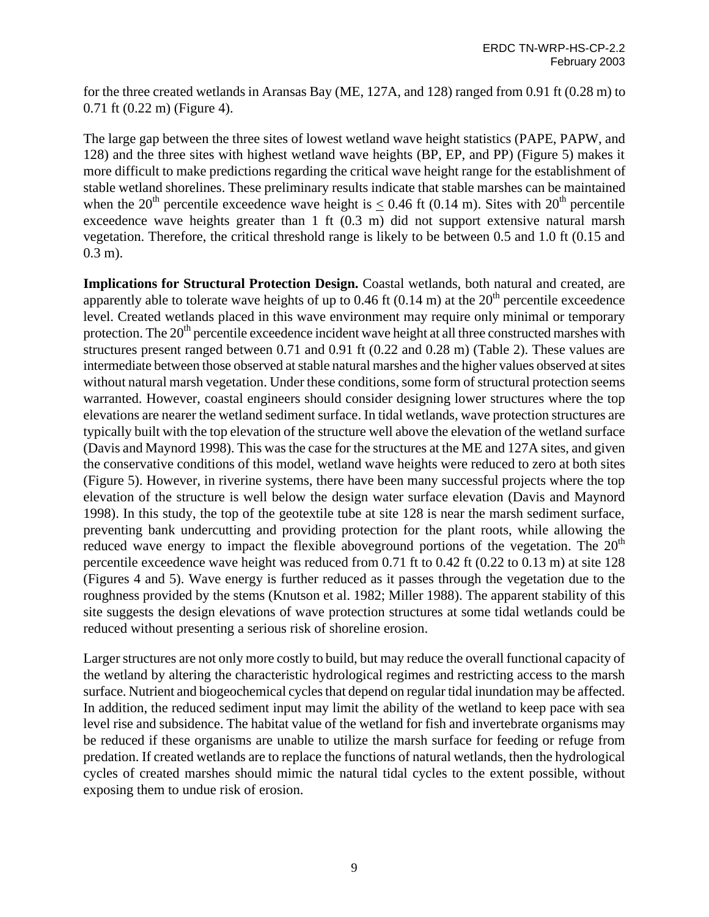for the three created wetlands in Aransas Bay (ME, 127A, and 128) ranged from 0.91 ft (0.28 m) to 0.71 ft (0.22 m) (Figure 4).

The large gap between the three sites of lowest wetland wave height statistics (PAPE, PAPW, and 128) and the three sites with highest wetland wave heights (BP, EP, and PP) (Figure 5) makes it more difficult to make predictions regarding the critical wave height range for the establishment of stable wetland shorelines. These preliminary results indicate that stable marshes can be maintained when the 20<sup>th</sup> percentile exceedence wave height is  $< 0.46$  ft (0.14 m). Sites with 20<sup>th</sup> percentile exceedence wave heights greater than 1 ft (0.3 m) did not support extensive natural marsh vegetation. Therefore, the critical threshold range is likely to be between 0.5 and 1.0 ft (0.15 and 0.3 m).

**Implications for Structural Protection Design.** Coastal wetlands, both natural and created, are apparently able to tolerate wave heights of up to 0.46 ft (0.14 m) at the  $20<sup>th</sup>$  percentile exceedence level. Created wetlands placed in this wave environment may require only minimal or temporary protection. The  $20<sup>th</sup>$  percentile exceedence incident wave height at all three constructed marshes with structures present ranged between 0.71 and 0.91 ft (0.22 and 0.28 m) (Table 2). These values are intermediate between those observed at stable natural marshes and the higher values observed at sites without natural marsh vegetation. Under these conditions, some form of structural protection seems warranted. However, coastal engineers should consider designing lower structures where the top elevations are nearer the wetland sediment surface. In tidal wetlands, wave protection structures are typically built with the top elevation of the structure well above the elevation of the wetland surface (Davis and Maynord 1998). This was the case for the structures at the ME and 127A sites, and given the conservative conditions of this model, wetland wave heights were reduced to zero at both sites (Figure 5). However, in riverine systems, there have been many successful projects where the top elevation of the structure is well below the design water surface elevation (Davis and Maynord 1998). In this study, the top of the geotextile tube at site 128 is near the marsh sediment surface, preventing bank undercutting and providing protection for the plant roots, while allowing the reduced wave energy to impact the flexible aboveground portions of the vegetation. The  $20<sup>th</sup>$ percentile exceedence wave height was reduced from 0.71 ft to 0.42 ft (0.22 to 0.13 m) at site 128 (Figures 4 and 5). Wave energy is further reduced as it passes through the vegetation due to the roughness provided by the stems (Knutson et al. 1982; Miller 1988). The apparent stability of this site suggests the design elevations of wave protection structures at some tidal wetlands could be reduced without presenting a serious risk of shoreline erosion.

Larger structures are not only more costly to build, but may reduce the overall functional capacity of the wetland by altering the characteristic hydrological regimes and restricting access to the marsh surface. Nutrient and biogeochemical cycles that depend on regular tidal inundation may be affected. In addition, the reduced sediment input may limit the ability of the wetland to keep pace with sea level rise and subsidence. The habitat value of the wetland for fish and invertebrate organisms may be reduced if these organisms are unable to utilize the marsh surface for feeding or refuge from predation. If created wetlands are to replace the functions of natural wetlands, then the hydrological cycles of created marshes should mimic the natural tidal cycles to the extent possible, without exposing them to undue risk of erosion.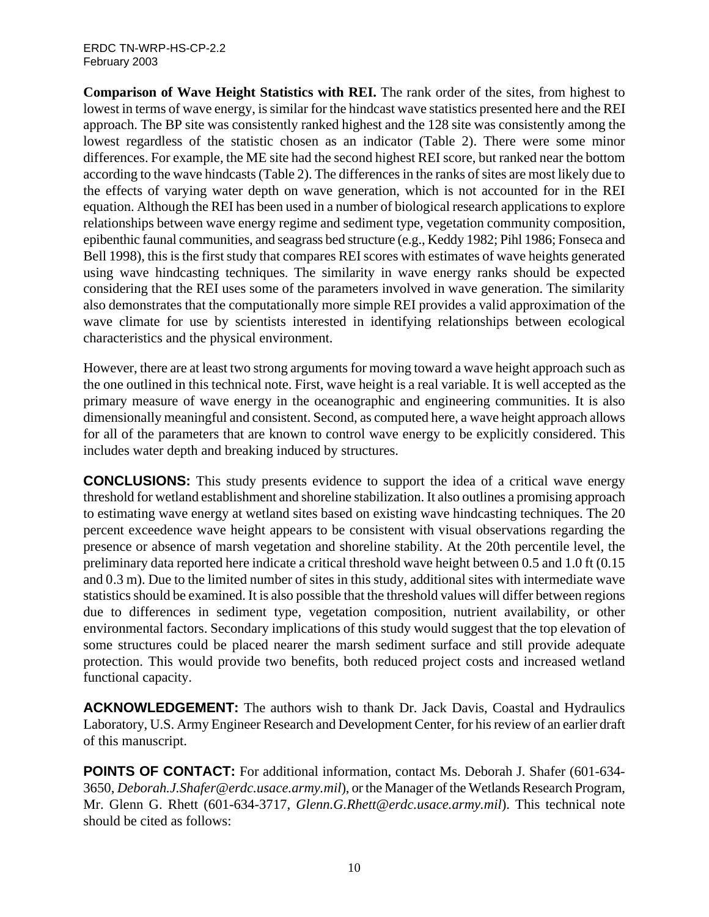**Comparison of Wave Height Statistics with REI.** The rank order of the sites, from highest to lowest in terms of wave energy, is similar for the hindcast wave statistics presented here and the REI approach. The BP site was consistently ranked highest and the 128 site was consistently among the lowest regardless of the statistic chosen as an indicator (Table 2). There were some minor differences. For example, the ME site had the second highest REI score, but ranked near the bottom according to the wave hindcasts (Table 2). The differences in the ranks of sites are most likely due to the effects of varying water depth on wave generation, which is not accounted for in the REI equation. Although the REI has been used in a number of biological research applications to explore relationships between wave energy regime and sediment type, vegetation community composition, epibenthic faunal communities, and seagrass bed structure (e.g., Keddy 1982; Pihl 1986; Fonseca and Bell 1998), this is the first study that compares REI scores with estimates of wave heights generated using wave hindcasting techniques. The similarity in wave energy ranks should be expected considering that the REI uses some of the parameters involved in wave generation. The similarity also demonstrates that the computationally more simple REI provides a valid approximation of the wave climate for use by scientists interested in identifying relationships between ecological characteristics and the physical environment.

However, there are at least two strong arguments for moving toward a wave height approach such as the one outlined in this technical note. First, wave height is a real variable. It is well accepted as the primary measure of wave energy in the oceanographic and engineering communities. It is also dimensionally meaningful and consistent. Second, as computed here, a wave height approach allows for all of the parameters that are known to control wave energy to be explicitly considered. This includes water depth and breaking induced by structures.

**CONCLUSIONS:** This study presents evidence to support the idea of a critical wave energy threshold for wetland establishment and shoreline stabilization. It also outlines a promising approach to estimating wave energy at wetland sites based on existing wave hindcasting techniques. The 20 percent exceedence wave height appears to be consistent with visual observations regarding the presence or absence of marsh vegetation and shoreline stability. At the 20th percentile level, the preliminary data reported here indicate a critical threshold wave height between 0.5 and 1.0 ft (0.15 and 0.3 m). Due to the limited number of sites in this study, additional sites with intermediate wave statistics should be examined. It is also possible that the threshold values will differ between regions due to differences in sediment type, vegetation composition, nutrient availability, or other environmental factors. Secondary implications of this study would suggest that the top elevation of some structures could be placed nearer the marsh sediment surface and still provide adequate protection. This would provide two benefits, both reduced project costs and increased wetland functional capacity.

**ACKNOWLEDGEMENT:** The authors wish to thank Dr. Jack Davis, Coastal and Hydraulics Laboratory, U.S. Army Engineer Research and Development Center, for his review of an earlier draft of this manuscript.

**POINTS OF CONTACT:** For additional information, contact Ms. Deborah J. Shafer (601-634-3650, *Deborah.J.Shafer@erdc.usace.army.mil*), or the Manager of the Wetlands Research Program, Mr. Glenn G. Rhett (601-634-3717, *Glenn.G.Rhett@erdc.usace.army.mil*). This technical note should be cited as follows: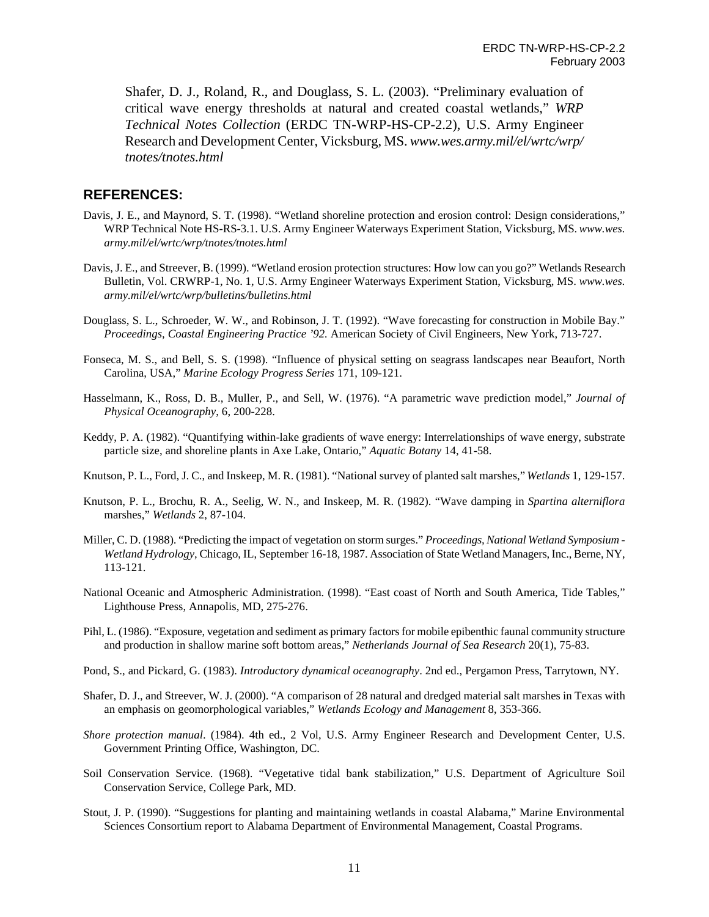Shafer, D. J., Roland, R., and Douglass, S. L. (2003). "Preliminary evaluation of critical wave energy thresholds at natural and created coastal wetlands," *WRP Technical Notes Collection* (ERDC TN-WRP-HS-CP-2.2), U.S. Army Engineer Research and Development Center, Vicksburg, MS. *www.wes.army.mil/el/wrtc/wrp/ tnotes/tnotes.html*

### **REFERENCES:**

- Davis, J. E., and Maynord, S. T. (1998). "Wetland shoreline protection and erosion control: Design considerations," WRP Technical Note HS-RS-3.1. U.S. Army Engineer Waterways Experiment Station, Vicksburg, MS. *www.wes. army.mil/el/wrtc/wrp/tnotes/tnotes.html*
- Davis, J. E., and Streever, B. (1999). "Wetland erosion protection structures: How low can you go?" Wetlands Research Bulletin, Vol. CRWRP-1, No. 1, U.S. Army Engineer Waterways Experiment Station, Vicksburg, MS. *www.wes. army.mil/el/wrtc/wrp/bulletins/bulletins.html*
- Douglass, S. L., Schroeder, W. W., and Robinson, J. T. (1992). "Wave forecasting for construction in Mobile Bay." *Proceedings, Coastal Engineering Practice '92.* American Society of Civil Engineers, New York, 713-727.
- Fonseca, M. S., and Bell, S. S. (1998). "Influence of physical setting on seagrass landscapes near Beaufort, North Carolina, USA," *Marine Ecology Progress Series* 171, 109-121.
- Hasselmann, K., Ross, D. B., Muller, P., and Sell, W. (1976). "A parametric wave prediction model," *Journal of Physical Oceanography*, 6, 200-228.
- Keddy, P. A. (1982). "Quantifying within-lake gradients of wave energy: Interrelationships of wave energy, substrate particle size, and shoreline plants in Axe Lake, Ontario," *Aquatic Botany* 14, 41-58.
- Knutson, P. L., Ford, J. C., and Inskeep, M. R. (1981). "National survey of planted salt marshes," *Wetlands* 1, 129-157.
- Knutson, P. L., Brochu, R. A., Seelig, W. N., and Inskeep, M. R. (1982). "Wave damping in *Spartina alterniflora* marshes," *Wetlands* 2, 87-104.
- Miller, C. D. (1988). "Predicting the impact of vegetation on storm surges." *Proceedings, National Wetland Symposium - Wetland Hydrology*, Chicago, IL, September 16-18, 1987. Association of State Wetland Managers, Inc., Berne, NY, 113-121.
- National Oceanic and Atmospheric Administration. (1998). "East coast of North and South America, Tide Tables," Lighthouse Press, Annapolis, MD, 275-276.
- Pihl, L. (1986). "Exposure, vegetation and sediment as primary factors for mobile epibenthic faunal community structure and production in shallow marine soft bottom areas," *Netherlands Journal of Sea Research* 20(1), 75-83.
- Pond, S., and Pickard, G. (1983). *Introductory dynamical oceanography*. 2nd ed., Pergamon Press, Tarrytown, NY.
- Shafer, D. J., and Streever, W. J. (2000). "A comparison of 28 natural and dredged material salt marshes in Texas with an emphasis on geomorphological variables," *Wetlands Ecology and Management* 8, 353-366.
- *Shore protection manual*. (1984). 4th ed., 2 Vol, U.S. Army Engineer Research and Development Center, U.S. Government Printing Office, Washington, DC.
- Soil Conservation Service. (1968). "Vegetative tidal bank stabilization," U.S. Department of Agriculture Soil Conservation Service, College Park, MD.
- Stout, J. P. (1990). "Suggestions for planting and maintaining wetlands in coastal Alabama," Marine Environmental Sciences Consortium report to Alabama Department of Environmental Management, Coastal Programs.